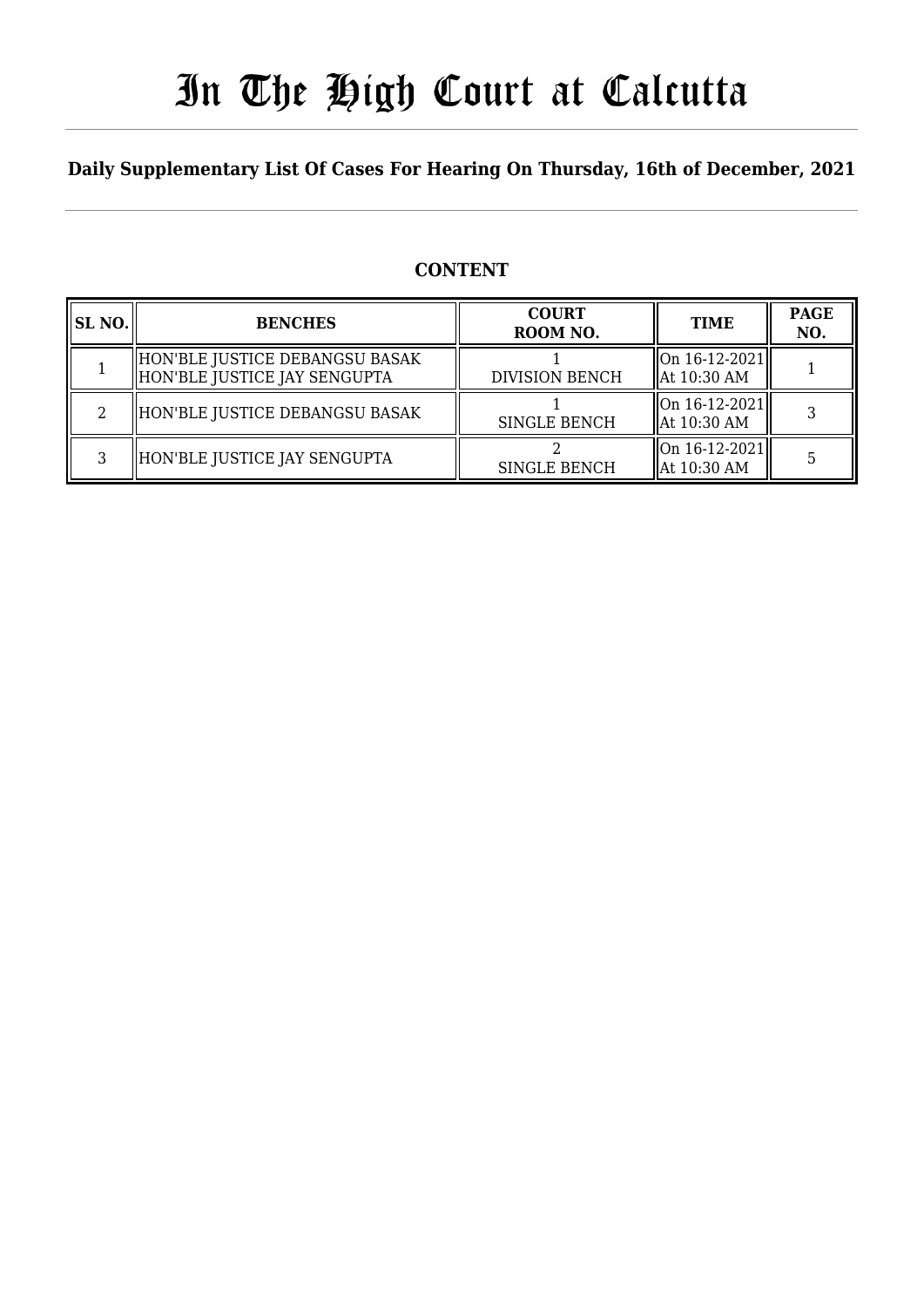# In The High Court at Calcutta

### **Daily Supplementary List Of Cases For Hearing On Thursday, 16th of December, 2021**

### **CONTENT**

| SL NO. | <b>BENCHES</b>                                                 | <b>COURT</b><br>ROOM NO. | <b>TIME</b>                                    | <b>PAGE</b><br>NO. |
|--------|----------------------------------------------------------------|--------------------------|------------------------------------------------|--------------------|
|        | HON'BLE JUSTICE DEBANGSU BASAK<br>HON'BLE JUSTICE JAY SENGUPTA | <b>DIVISION BENCH</b>    | $\vert$ On 16-12-2021 $\vert$<br>  At 10:30 AM |                    |
| റ      | HON'BLE JUSTICE DEBANGSU BASAK                                 | <b>SINGLE BENCH</b>      | On 16-12-2021  <br>  At 10:30 AM               |                    |
| ς      | HON'BLE JUSTICE JAY SENGUPTA                                   | <b>SINGLE BENCH</b>      | $\ $ On 16-12-2021 $\ $<br>  At 10:30 AM       |                    |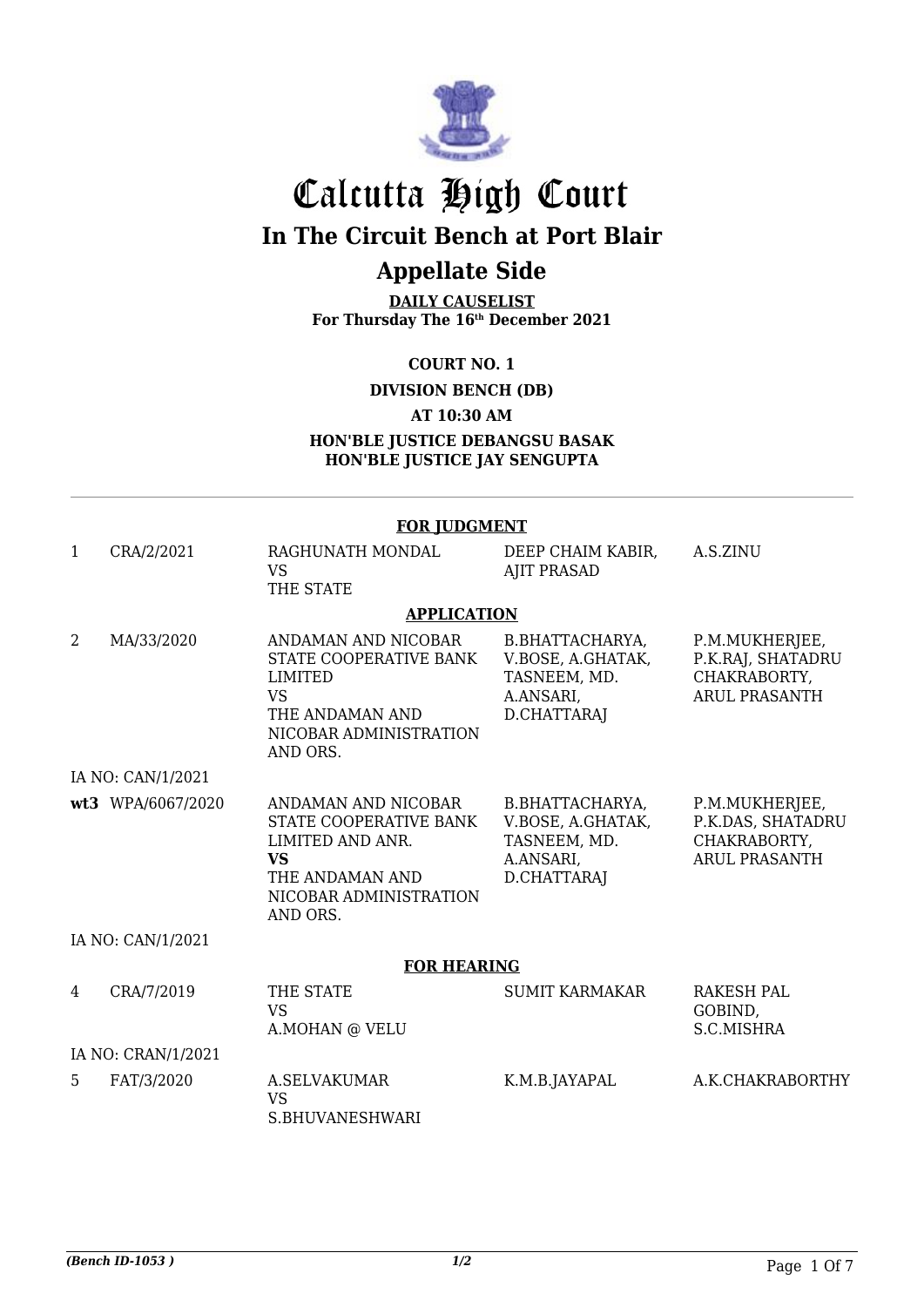

# Calcutta High Court **In The Circuit Bench at Port Blair**

## **Appellate Side**

**DAILY CAUSELIST For Thursday The 16th December 2021**

**COURT NO. 1**

**DIVISION BENCH (DB)**

**AT 10:30 AM**

**HON'BLE JUSTICE DEBANGSU BASAK HON'BLE JUSTICE JAY SENGUPTA**

#### **FOR JUDGMENT**

| $\mathbf{1}$ | CRA/2/2021         | RAGHUNATH MONDAL<br><b>VS</b><br>THE STATE                                                                                              | DEEP CHAIM KABIR,<br><b>AJIT PRASAD</b>                                          | A.S.ZINU                                                                    |  |  |
|--------------|--------------------|-----------------------------------------------------------------------------------------------------------------------------------------|----------------------------------------------------------------------------------|-----------------------------------------------------------------------------|--|--|
|              |                    | <b>APPLICATION</b>                                                                                                                      |                                                                                  |                                                                             |  |  |
| 2            | MA/33/2020         | ANDAMAN AND NICOBAR<br>STATE COOPERATIVE BANK<br>LIMITED<br><b>VS</b><br>THE ANDAMAN AND<br>NICOBAR ADMINISTRATION<br>AND ORS.          | B.BHATTACHARYA,<br>V.BOSE, A.GHATAK,<br>TASNEEM, MD.<br>A.ANSARI,<br>D.CHATTARAJ | P.M.MUKHERJEE,<br>P.K.RAJ, SHATADRU<br>CHAKRABORTY,<br><b>ARUL PRASANTH</b> |  |  |
|              | IA NO: CAN/1/2021  |                                                                                                                                         |                                                                                  |                                                                             |  |  |
|              | wt3 WPA/6067/2020  | ANDAMAN AND NICOBAR<br>STATE COOPERATIVE BANK<br>LIMITED AND ANR.<br><b>VS</b><br>THE ANDAMAN AND<br>NICOBAR ADMINISTRATION<br>AND ORS. | B.BHATTACHARYA,<br>V.BOSE, A.GHATAK,<br>TASNEEM, MD.<br>A.ANSARI,<br>D.CHATTARAJ | P.M.MUKHERJEE,<br>P.K.DAS, SHATADRU<br>CHAKRABORTY,<br><b>ARUL PRASANTH</b> |  |  |
|              | IA NO: CAN/1/2021  |                                                                                                                                         |                                                                                  |                                                                             |  |  |
|              |                    | <b>FOR HEARING</b>                                                                                                                      |                                                                                  |                                                                             |  |  |
| 4            | CRA/7/2019         | THE STATE<br><b>VS</b><br>A.MOHAN @ VELU                                                                                                | <b>SUMIT KARMAKAR</b>                                                            | <b>RAKESH PAL</b><br>GOBIND,<br>S.C.MISHRA                                  |  |  |
|              | IA NO: CRAN/1/2021 |                                                                                                                                         |                                                                                  |                                                                             |  |  |
| 5            | FAT/3/2020         | <b>A.SELVAKUMAR</b><br><b>VS</b><br>S.BHUVANESHWARI                                                                                     | K.M.B.JAYAPAL                                                                    | A.K.CHAKRABORTHY                                                            |  |  |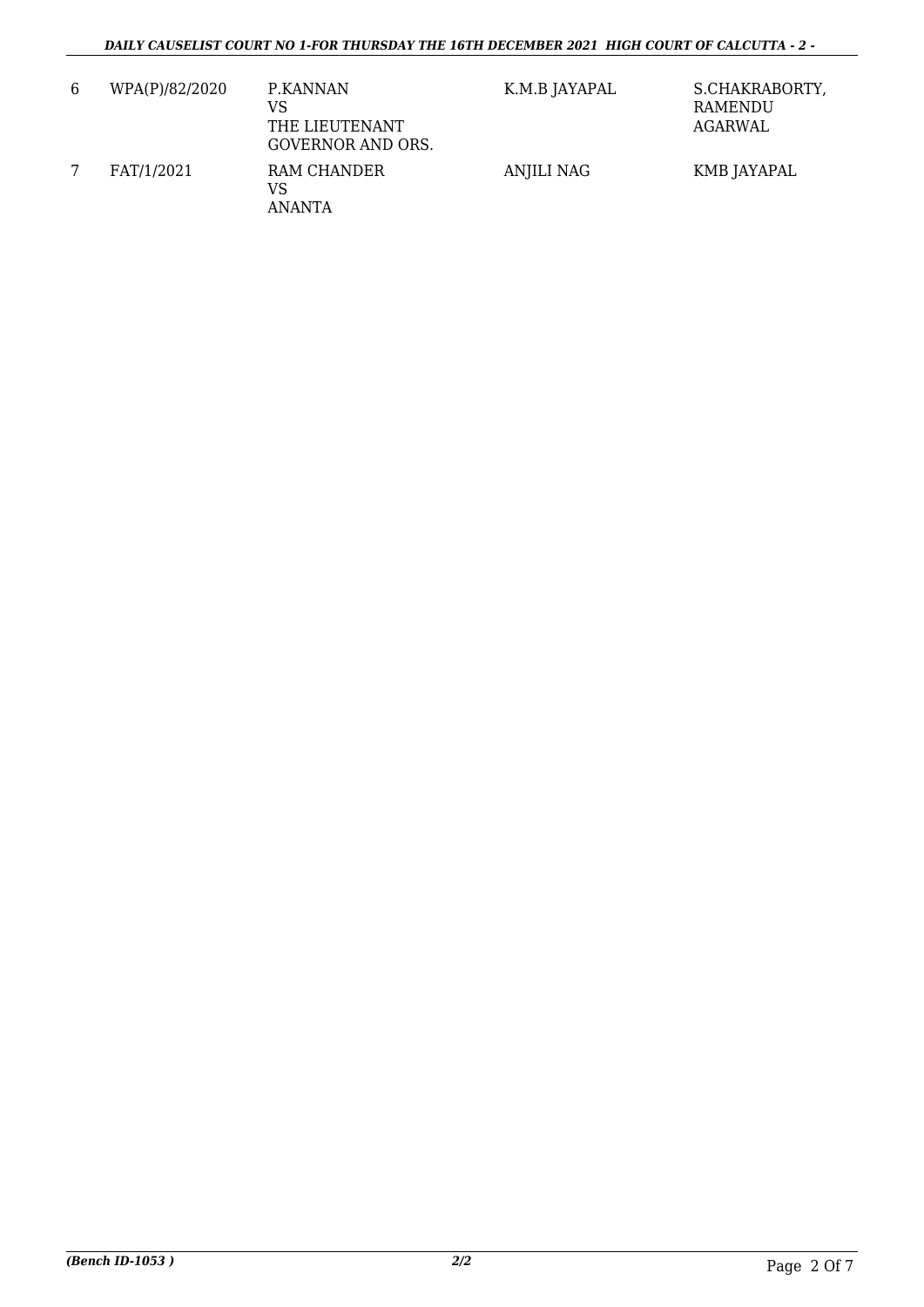| 6 | WPA(P)/82/2020 | P.KANNAN<br>VS<br>THE LIEUTENANT<br><b>GOVERNOR AND ORS.</b> | K.M.B JAYAPAL     | S.CHAKRABORTY,<br>RAMENDU<br>AGARWAL |
|---|----------------|--------------------------------------------------------------|-------------------|--------------------------------------|
|   | FAT/1/2021     | RAM CHANDER<br>VS<br>ANANTA                                  | <b>ANJILI NAG</b> | KMB JAYAPAL                          |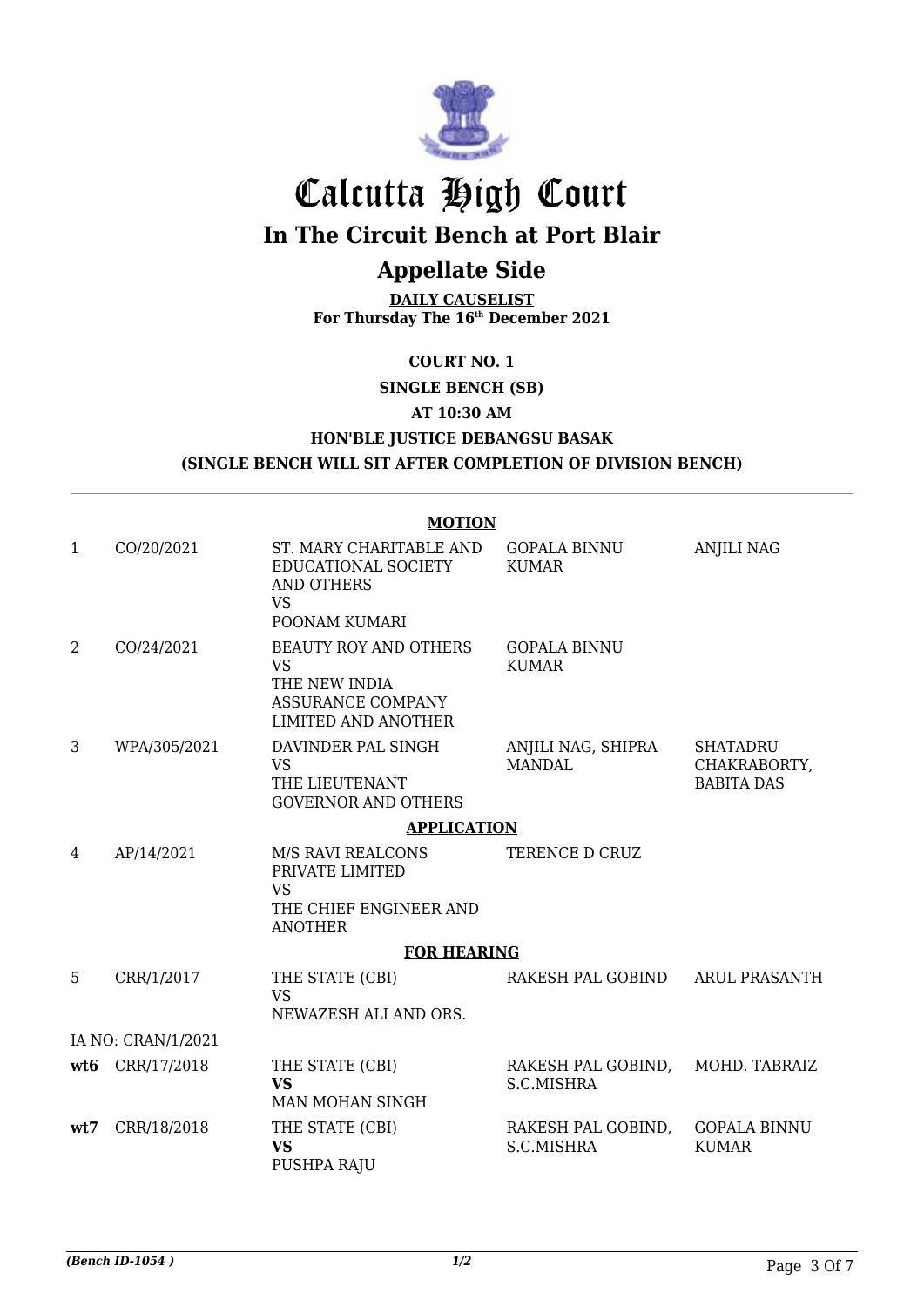

# Calcutta High Court

**In The Circuit Bench at Port Blair**

## **Appellate Side**

**DAILY CAUSELIST For Thursday The 16th December 2021**

**COURT NO. 1**

**SINGLE BENCH (SB)**

**AT 10:30 AM**

**HON'BLE JUSTICE DEBANGSU BASAK**

**(SINGLE BENCH WILL SIT AFTER COMPLETION OF DIVISION BENCH)**

### **MOTION**

| $\mathbf{1}$   | CO/20/2021         | ST. MARY CHARITABLE AND<br>EDUCATIONAL SOCIETY<br><b>AND OTHERS</b><br><b>VS</b><br>POONAM KUMARI                    | <b>GOPALA BINNU</b><br><b>KUMAR</b> | <b>ANJILI NAG</b>                                    |
|----------------|--------------------|----------------------------------------------------------------------------------------------------------------------|-------------------------------------|------------------------------------------------------|
| $\overline{2}$ | CO/24/2021         | <b>BEAUTY ROY AND OTHERS</b><br><b>VS</b><br>THE NEW INDIA<br><b>ASSURANCE COMPANY</b><br><b>LIMITED AND ANOTHER</b> | <b>GOPALA BINNU</b><br><b>KUMAR</b> |                                                      |
| 3              | WPA/305/2021       | DAVINDER PAL SINGH<br><b>VS</b><br>THE LIEUTENANT<br><b>GOVERNOR AND OTHERS</b>                                      | ANJILI NAG, SHIPRA<br><b>MANDAL</b> | <b>SHATADRU</b><br>CHAKRABORTY,<br><b>BABITA DAS</b> |
|                |                    | <b>APPLICATION</b>                                                                                                   |                                     |                                                      |
| 4              | AP/14/2021         | M/S RAVI REALCONS<br>PRIVATE LIMITED<br><b>VS</b><br>THE CHIEF ENGINEER AND<br><b>ANOTHER</b>                        | TERENCE D CRUZ                      |                                                      |
|                |                    | <b>FOR HEARING</b>                                                                                                   |                                     |                                                      |
| 5              | CRR/1/2017         | THE STATE (CBI)<br><b>VS</b><br>NEWAZESH ALI AND ORS.                                                                | RAKESH PAL GOBIND                   | <b>ARUL PRASANTH</b>                                 |
|                | IA NO: CRAN/1/2021 |                                                                                                                      |                                     |                                                      |
| wt6            | CRR/17/2018        | THE STATE (CBI)<br><b>VS</b><br>MAN MOHAN SINGH                                                                      | RAKESH PAL GOBIND,<br>S.C.MISHRA    | MOHD. TABRAIZ                                        |
| wt7            | CRR/18/2018        | THE STATE (CBI)<br><b>VS</b><br>PUSHPA RAJU                                                                          | RAKESH PAL GOBIND,<br>S.C.MISHRA    | <b>GOPALA BINNU</b><br><b>KUMAR</b>                  |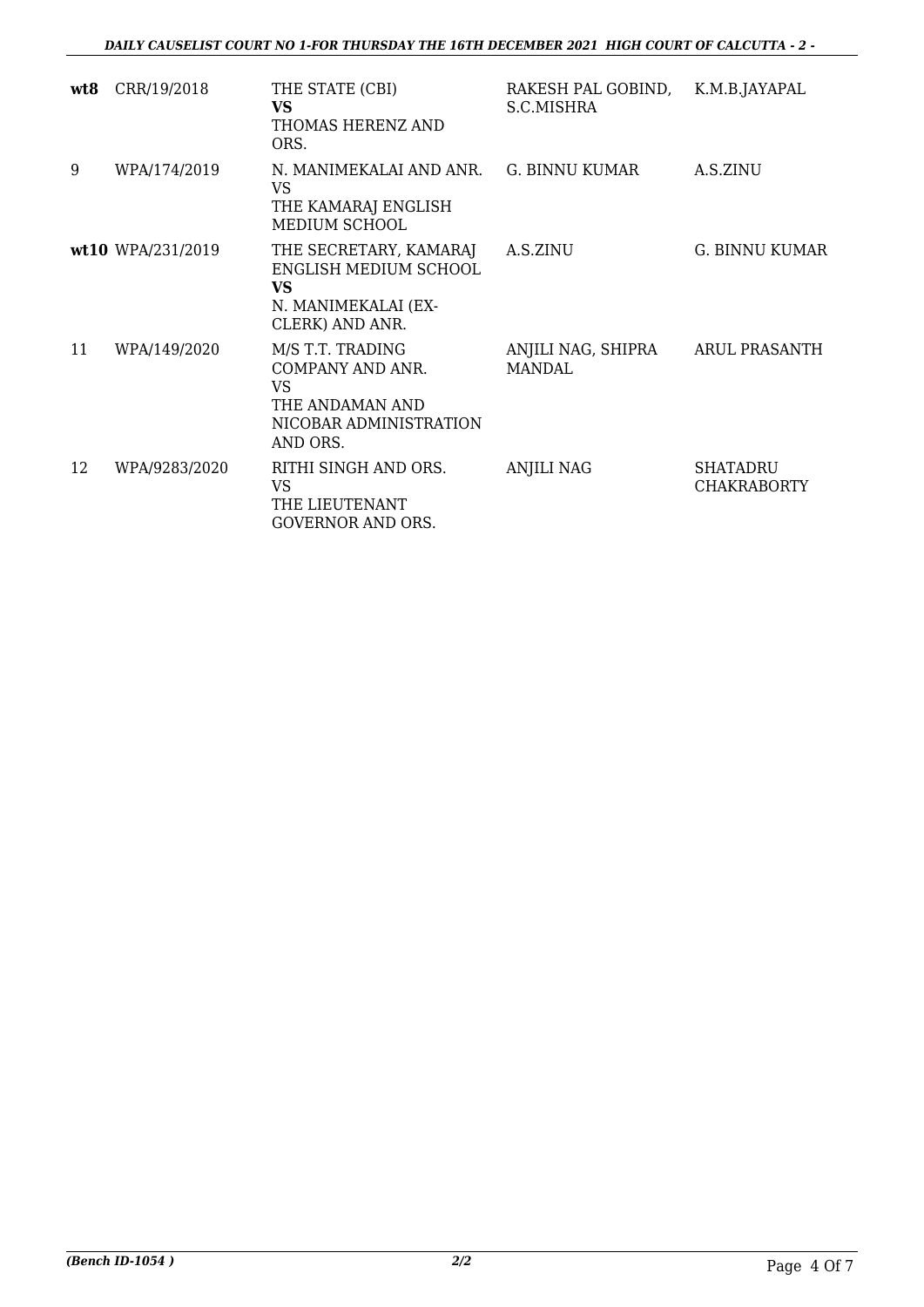| wt8 | CRR/19/2018       | THE STATE (CBI)<br><b>VS</b><br>THOMAS HERENZ AND<br>ORS.                                                  | RAKESH PAL GOBIND,<br>S.C.MISHRA    | K.M.B.JAYAPAL                         |
|-----|-------------------|------------------------------------------------------------------------------------------------------------|-------------------------------------|---------------------------------------|
| 9   | WPA/174/2019      | N. MANIMEKALAI AND ANR.<br><b>VS</b><br>THE KAMARAJ ENGLISH<br>MEDIUM SCHOOL                               | <b>G. BINNU KUMAR</b>               | A.S.ZINU                              |
|     | wt10 WPA/231/2019 | THE SECRETARY, KAMARAJ<br>ENGLISH MEDIUM SCHOOL<br><b>VS</b><br>N. MANIMEKALAI (EX-<br>CLERK) AND ANR.     | A.S.ZINU                            | <b>G. BINNU KUMAR</b>                 |
| 11  | WPA/149/2020      | M/S T.T. TRADING<br>COMPANY AND ANR.<br><b>VS</b><br>THE ANDAMAN AND<br>NICOBAR ADMINISTRATION<br>AND ORS. | ANJILI NAG, SHIPRA<br><b>MANDAL</b> | ARUL PRASANTH                         |
| 12  | WPA/9283/2020     | RITHI SINGH AND ORS.<br>VS<br>THE LIEUTENANT<br><b>GOVERNOR AND ORS.</b>                                   | <b>ANJILI NAG</b>                   | <b>SHATADRU</b><br><b>CHAKRABORTY</b> |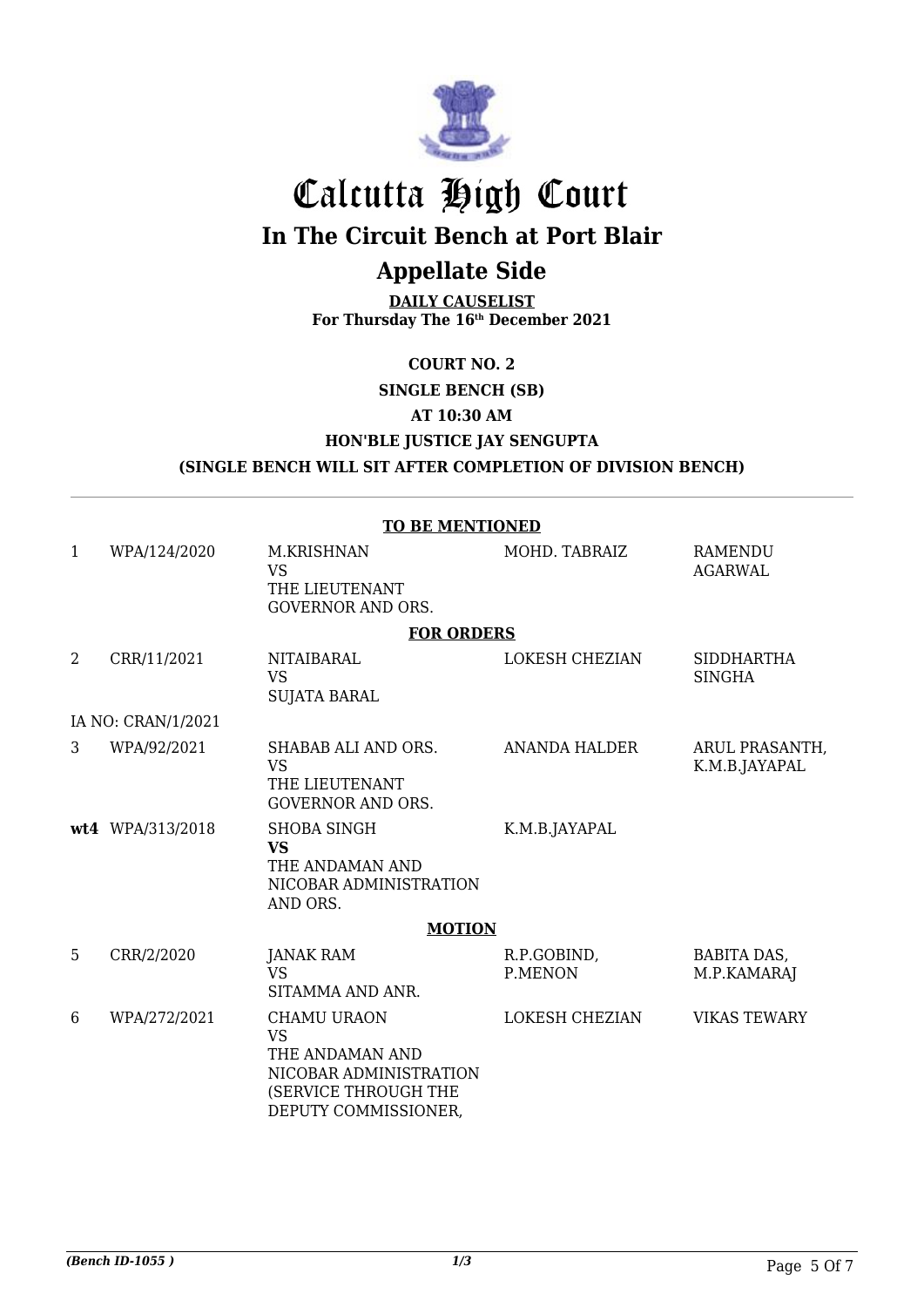

# Calcutta High Court **In The Circuit Bench at Port Blair**

## **Appellate Side**

**DAILY CAUSELIST For Thursday The 16th December 2021**

**COURT NO. 2**

**SINGLE BENCH (SB)**

**AT 10:30 AM**

**HON'BLE JUSTICE JAY SENGUPTA**

**(SINGLE BENCH WILL SIT AFTER COMPLETION OF DIVISION BENCH)**

|                | <b>TO BE MENTIONED</b> |                                                                                                                              |                        |                                    |  |  |
|----------------|------------------------|------------------------------------------------------------------------------------------------------------------------------|------------------------|------------------------------------|--|--|
| 1              | WPA/124/2020           | <b>M.KRISHNAN</b><br><b>VS</b><br>THE LIEUTENANT<br><b>GOVERNOR AND ORS.</b>                                                 | MOHD. TABRAIZ          | <b>RAMENDU</b><br><b>AGARWAL</b>   |  |  |
|                |                        | <b>FOR ORDERS</b>                                                                                                            |                        |                                    |  |  |
| $\overline{2}$ | CRR/11/2021            | <b>NITAIBARAL</b><br><b>VS</b><br><b>SUJATA BARAL</b>                                                                        | <b>LOKESH CHEZIAN</b>  | <b>SIDDHARTHA</b><br><b>SINGHA</b> |  |  |
|                | IA NO: CRAN/1/2021     |                                                                                                                              |                        |                                    |  |  |
| 3              | WPA/92/2021            | SHABAB ALI AND ORS.<br><b>VS</b><br>THE LIEUTENANT<br><b>GOVERNOR AND ORS.</b>                                               | <b>ANANDA HALDER</b>   | ARUL PRASANTH,<br>K.M.B.JAYAPAL    |  |  |
|                | wt4 WPA/313/2018       | <b>SHOBA SINGH</b><br><b>VS</b><br>THE ANDAMAN AND<br>NICOBAR ADMINISTRATION<br>AND ORS.                                     | K.M.B.JAYAPAL          |                                    |  |  |
|                |                        | <b>MOTION</b>                                                                                                                |                        |                                    |  |  |
| 5              | CRR/2/2020             | JANAK RAM<br><b>VS</b><br>SITAMMA AND ANR.                                                                                   | R.P.GOBIND,<br>P.MENON | <b>BABITA DAS,</b><br>M.P.KAMARAJ  |  |  |
| 6              | WPA/272/2021           | <b>CHAMU URAON</b><br><b>VS</b><br>THE ANDAMAN AND<br>NICOBAR ADMINISTRATION<br>(SERVICE THROUGH THE<br>DEPUTY COMMISSIONER, | <b>LOKESH CHEZIAN</b>  | <b>VIKAS TEWARY</b>                |  |  |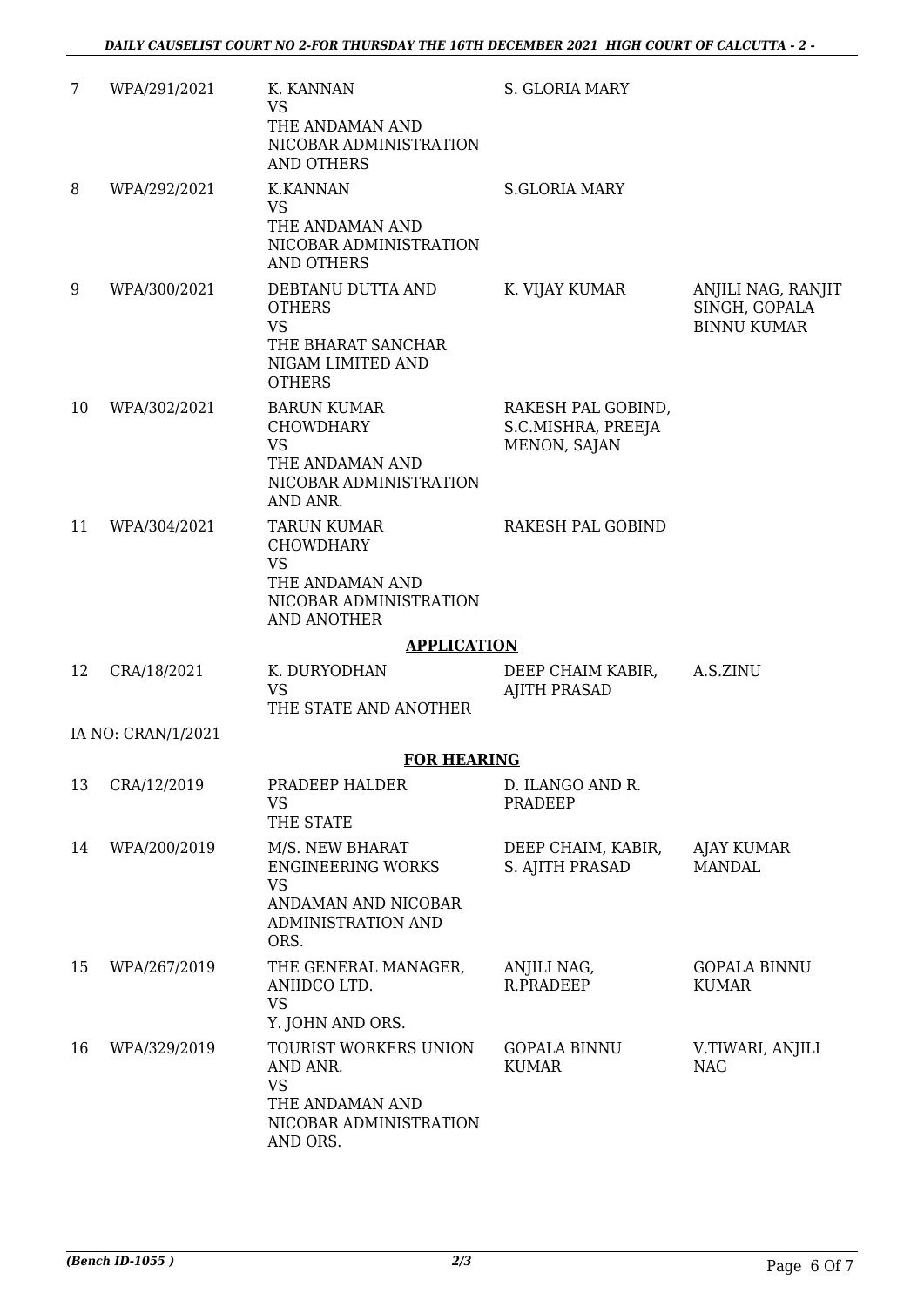| 7  | WPA/291/2021       | K. KANNAN<br><b>VS</b><br>THE ANDAMAN AND<br>NICOBAR ADMINISTRATION<br><b>AND OTHERS</b>                      | S. GLORIA MARY                                           |                                                           |
|----|--------------------|---------------------------------------------------------------------------------------------------------------|----------------------------------------------------------|-----------------------------------------------------------|
| 8  | WPA/292/2021       | <b>K.KANNAN</b><br><b>VS</b><br>THE ANDAMAN AND<br>NICOBAR ADMINISTRATION<br><b>AND OTHERS</b>                | <b>S.GLORIA MARY</b>                                     |                                                           |
| 9  | WPA/300/2021       | DEBTANU DUTTA AND<br><b>OTHERS</b><br><b>VS</b><br>THE BHARAT SANCHAR<br>NIGAM LIMITED AND<br><b>OTHERS</b>   | K. VIJAY KUMAR                                           | ANJILI NAG, RANJIT<br>SINGH, GOPALA<br><b>BINNU KUMAR</b> |
| 10 | WPA/302/2021       | <b>BARUN KUMAR</b><br><b>CHOWDHARY</b><br><b>VS</b><br>THE ANDAMAN AND<br>NICOBAR ADMINISTRATION<br>AND ANR.  | RAKESH PAL GOBIND,<br>S.C.MISHRA, PREEJA<br>MENON, SAJAN |                                                           |
| 11 | WPA/304/2021       | TARUN KUMAR<br><b>CHOWDHARY</b><br><b>VS</b><br>THE ANDAMAN AND<br>NICOBAR ADMINISTRATION<br>AND ANOTHER      | RAKESH PAL GOBIND                                        |                                                           |
|    |                    | <b>APPLICATION</b>                                                                                            |                                                          |                                                           |
| 12 | CRA/18/2021        | K. DURYODHAN<br><b>VS</b><br>THE STATE AND ANOTHER                                                            | DEEP CHAIM KABIR,<br><b>AJITH PRASAD</b>                 | A.S.ZINU                                                  |
|    | IA NO: CRAN/1/2021 |                                                                                                               |                                                          |                                                           |
|    |                    | <b>FOR HEARING</b>                                                                                            |                                                          |                                                           |
| 13 | CRA/12/2019        | PRADEEP HALDER<br><b>VS</b><br>THE STATE                                                                      | D. ILANGO AND R.<br>PRADEEP                              |                                                           |
| 14 | WPA/200/2019       | M/S. NEW BHARAT<br><b>ENGINEERING WORKS</b><br><b>VS</b><br>ANDAMAN AND NICOBAR<br>ADMINISTRATION AND<br>ORS. | DEEP CHAIM, KABIR,<br>S. AJITH PRASAD                    | AJAY KUMAR<br><b>MANDAL</b>                               |
| 15 | WPA/267/2019       | THE GENERAL MANAGER,<br>ANIIDCO LTD.<br><b>VS</b><br>Y. JOHN AND ORS.                                         | ANJILI NAG,<br>R.PRADEEP                                 | GOPALA BINNU<br><b>KUMAR</b>                              |
| 16 | WPA/329/2019       | TOURIST WORKERS UNION<br>AND ANR.<br><b>VS</b><br>THE ANDAMAN AND<br>NICOBAR ADMINISTRATION<br>AND ORS.       | <b>GOPALA BINNU</b><br><b>KUMAR</b>                      | V.TIWARI, ANJILI<br><b>NAG</b>                            |